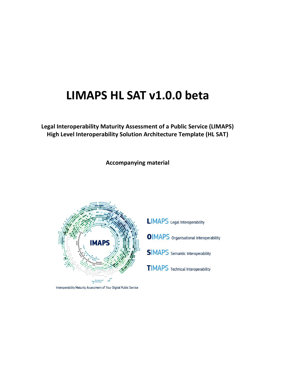# **LIMAPS HL SAT v1.0.0 beta**

**Legal Interoperability Maturity Assessment of a Public Service (LIMAPS) High Level Interoperability Solution Architecture Template (HL SAT)**

**Accompanying material**



Interoperability Maturity Assessment of Your Digital Public Service

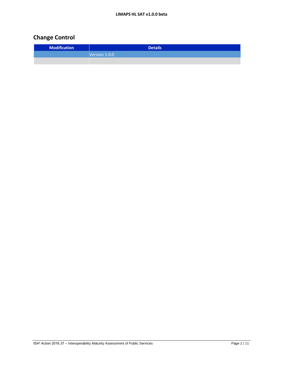# **Change Control**

| <b>Modification</b> | <b>Details</b> |
|---------------------|----------------|
|                     | Version 1.0.0  |
|                     |                |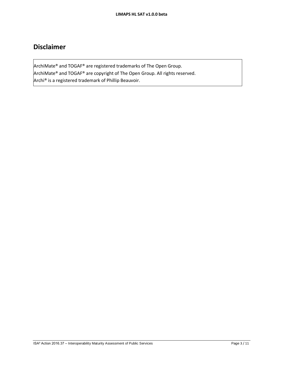# **Disclaimer**

ArchiMate® and TOGAF® are registered trademarks of The Open Group. ArchiMate® and TOGAF® are copyright of The Open Group. All rights reserved. Archi® is a registered trademark of Phillip Beauvoir.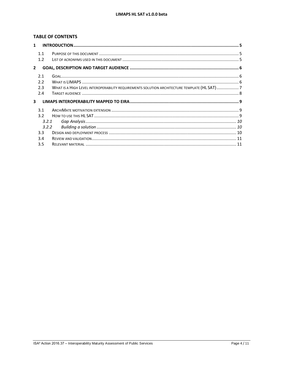# **TABLE OF CONTENTS**

| $\mathbf{1}$   |                  |                                                                                              |  |  |  |
|----------------|------------------|----------------------------------------------------------------------------------------------|--|--|--|
|                | 1.1              |                                                                                              |  |  |  |
|                | 1.2              |                                                                                              |  |  |  |
| $\overline{2}$ |                  |                                                                                              |  |  |  |
|                | 2.1              |                                                                                              |  |  |  |
|                | 2.2              |                                                                                              |  |  |  |
|                | 2.3              | WHAT IS A HIGH LEVEL INTEROPERABILITY REQUIREMENTS SOLUTION ARCHITECTURE TEMPLATE (HL SAT) 7 |  |  |  |
|                | 2.4              |                                                                                              |  |  |  |
| 3              |                  |                                                                                              |  |  |  |
|                | 3.1              |                                                                                              |  |  |  |
|                | 3.2              |                                                                                              |  |  |  |
|                | 3.2.1            |                                                                                              |  |  |  |
| 3.2.2          |                  |                                                                                              |  |  |  |
|                | 3.3 <sub>2</sub> |                                                                                              |  |  |  |
|                | 3.4              |                                                                                              |  |  |  |
|                | 3.5              |                                                                                              |  |  |  |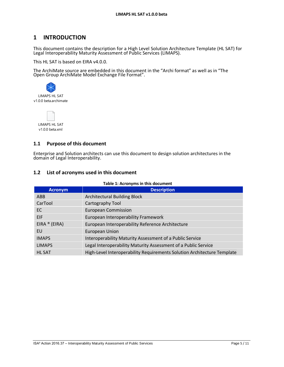# **1 INTRODUCTION**

This document contains the description for a High Level Solution Architecture Template (HL SAT) for Legal Interoperability Maturity Assessment of Public Services (LIMAPS).

This HL SAT is based on EIRA v4.0.0.

The ArchiMate source are embedded in this document in the "Archi format" as well as in "The Open Group ArchiMate Model Exchange File Format".



LIMAPS HL SAT v1.0.0 beta.xml

### **1.1 Purpose of this document**

Enterprise and Solution architects can use this document to design solution architectures in the domain of Legal Interoperability.

### **1.2 List of acronyms used in this document**

| <b>Acronym</b> | <b>Description</b>                                                      |
|----------------|-------------------------------------------------------------------------|
| ABB            | <b>Architectural Building Block</b>                                     |
| CarTool        | Cartography Tool                                                        |
| EC.            | <b>European Commission</b>                                              |
| EIF.           | European Interoperability Framework                                     |
| EIRA ® (EIRA)  | European Interoperability Reference Architecture                        |
| EU             | <b>European Union</b>                                                   |
| <b>IMAPS</b>   | Interoperability Maturity Assessment of a Public Service                |
| <b>LIMAPS</b>  | Legal Interoperability Maturity Assessment of a Public Service          |
| <b>HL SAT</b>  | High-Level Interoperability Requirements Solution Architecture Template |

#### **Table 1: Acronyms in this document**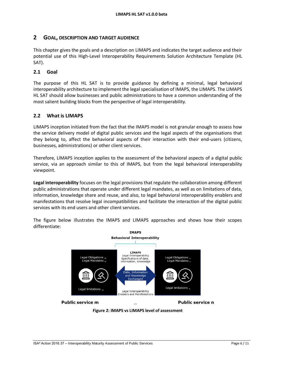# **2 GOAL, DESCRIPTION AND TARGET AUDIENCE**

This chapter gives the goals and a description on LIMAPS and indicates the target audience and their potential use of this High-Level Interoperability Requirements Solution Architecture Template (HL SAT).

### **2.1 Goal**

The purpose of this HL SAT is to provide guidance by defining a minimal, legal behavioral interoperability architecture to implement the legal specialisation of IMAPS, the LIMAPS. The LIMAPS HL SAT should allow businesses and public administrations to have a common understanding of the most salient building blocks from the perspective of legal interoperability.

### **2.2 What is LIMAPS**

LIMAPS inception initiated from the fact that the IMAPS model is not granular enough to assess how the service delivery model of digital public services and the legal aspects of the organisations that they belong to, affect the behavioral aspects of their interaction with their end-users (citizens, businesses, administrations) or other client services.

Therefore, LIMAPS inception applies to the assessment of the behavioral aspects of a digital public service, via an approach similar to this of IMAPS, but from the legal behavioral interoperability viewpoint.

**Legal interoperability** focuses on the legal provisions that regulate the collaboration among different public administrations that operate under different legal mandates, as well as on limitations of data, information, knowledge share and reuse, and also, to legal behavioral interoperability enablers and manifestations that resolve legal incompatibilities and facilitate the interaction of the digital public services with its end users and other client services.



The figure below illustrates the IMAPS and LIMAPS approaches and shows how their scopes differentiate:

**Figure 2: IMAPS vs LIMAPS level of assessment**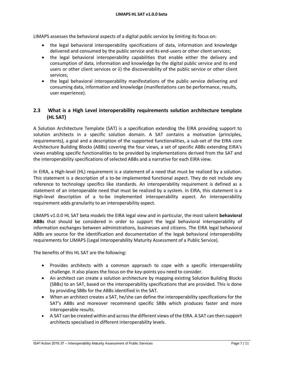LIMAPS assesses the behavioral aspects of a digital public service by limiting its focus on:

- the legal behavioral interoperability specifications of data, information and knowledge delivered and consumed by the public service and its end-users or other client services;
- the legal behavioral interoperability capabilities that enable either the delivery and consumption of data, information and knowledge by the digital public service and its end users or other client services or ii) the discoverability of the public service or other client services;
- the legal behavioral interoperability manifestations of the public service delivering and consuming data, information and knowledge (manifestations can be performance, results, user experience).

# **2.3 What is a High Level interoperability requirements solution architecture template (HL SAT)**

A Solution Architecture Template (SAT) is a specification extending the EIRA providing support to solution architects in a specific solution domain. A SAT contains a motivation (principles, requirements), a goal and a description of the supported functionalities, a sub-set of the EIRA core Architecture Building Blocks (ABBs) covering the four views, a set of specific ABBs extending EIRA's views enabling specific functionalities to be provided by implementations derived from the SAT and the interoperability specifications of selected ABBs and a narrative for each EIRA view.

In EIRA, a High-level (HL) requirement is a statement of a need that must be realized by a solution. This statement is a description of a to-be implemented functional aspect. They do not include any reference to technology specifics like standards. An interoperability requirement is defined as a statement of an interoperable need that must be realized by a system. In EIRA, this statement is a High-level description of a to-be implemented interoperability aspect. An interoperability requirement adds granularity to an interoperability aspect.

LIMAPS v1.0.0 HL SAT beta models the EIRA legal view and in particular, the most salient **behavioral ABBs** that should be considered in order to support the legal behavioral interoperability of information exchanges between administrations, businesses and citizens. The EIRA legal behavioral ABBs are source for the identification and documentation of the legak behavioral interoperability requirements for LIMAPS (Legal Interoperability Maturity Assessment of a Public Service).

The benefits of this HL SAT are the following:

- Provides architects with a common approach to cope with a specific interoperability challenge. It also places the focus on the key-points you need to consider.
- An architect can create a solution architecture by mapping existing Solution Building Blocks (SBBs) to an SAT, based on the interoperability specifications that are provided. This is done by providing SBBs for the ABBs identified in the SAT.
- When an architect creates a SAT, he/she can define the interoperability specifications for the SAT's ABBs and moreover recommend specific SBBs which produces faster and more interoperable results.
- A SAT can be created within and across the different views of the EIRA. A SAT can then support architects specialised in different interoperability levels.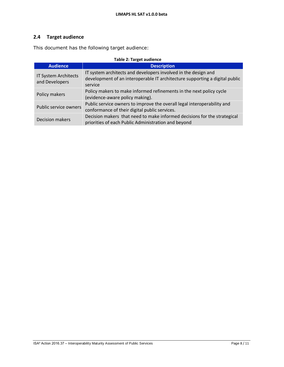# **2.4 Target audience**

This document has the following target audience:

| <b>Table 2: Target audience</b>        |                                                                                                                                                          |  |  |
|----------------------------------------|----------------------------------------------------------------------------------------------------------------------------------------------------------|--|--|
| <b>Audience</b>                        | <b>Description</b>                                                                                                                                       |  |  |
| IT System Architects<br>and Developers | IT system architects and developers involved in the design and<br>development of an interoperable IT architecture supporting a digital public<br>service |  |  |
| Policy makers                          | Policy makers to make informed refinements in the next policy cycle<br>(evidence-aware policy making).                                                   |  |  |
| Public service owners                  | Public service owners to improve the overall legal interoperability and<br>conformance of their digital public services.                                 |  |  |
| <b>Decision makers</b>                 | Decision makers that need to make informed decisions for the strategical<br>priorities of each Public Administration and beyond                          |  |  |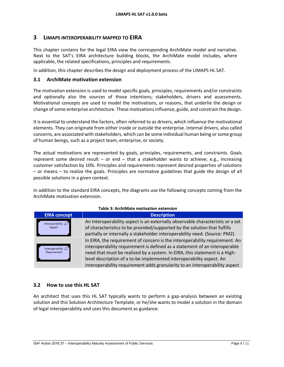### **3 LIMAPS INTEROPERABILITY MAPPED TO EIRA**

This chapter contains for the legal EIRA view the corresponding ArchiMate model and narrative. Next to the SAT's EIRA architecture building blocks, the ArchiMate model includes, where applicable, the related specifications, principles and requirements.

In addition, this chapter describes the design and deployment process of the LIMAPS HL SAT.

### **3.1 ArchiMate motivation extension**

The motivation extension is used to model specific goals, principles, requirements and/or constraints and optionally also the sources of those intentions; stakeholders, drivers and assessments. Motivational concepts are used to model the motivations, or reasons, that underlie the design or change of some enterprise architecture. These motivations influence, guide, and constrain the design.

It is essential to understand the factors, often referred to as drivers, which influence the motivational elements. They can originate from either inside or outside the enterprise. Internal drivers, also called concerns, are associated with stakeholders, which can be some individual human being or some group of human beings, such as a project team, enterprise, or society.

The actual motivations are represented by goals, principles, requirements, and constraints. Goals represent some desired result – or end – that a stakeholder wants to achieve; e.g., increasing customer satisfaction by 10%. Principles and requirements represent desired properties of solutions – or means – to realize the goals. Principles are normative guidelines that guide the design of all possible solutions in a given context.

In addition to the standard EIRA concepts, the diagrams use the following concepts coming from the ArchiMate motivation extension.

| Table 3: Archilviate motivation extension |                                                                                                                                                                                                                                                                                                                                                                                                |  |
|-------------------------------------------|------------------------------------------------------------------------------------------------------------------------------------------------------------------------------------------------------------------------------------------------------------------------------------------------------------------------------------------------------------------------------------------------|--|
| <b>EIRA concept</b>                       | <b>Description</b>                                                                                                                                                                                                                                                                                                                                                                             |  |
| Interoperability $\Box$<br>Aspect         | An Interoperability aspect is an externally observable characteristic or a set<br>of characteristics to be provided/supported by the solution that fulfills<br>partially or internally a stakeholder interoperability need. (Source: PM2)                                                                                                                                                      |  |
| Interoperability $\Box$<br>Requirement    | In EIRA, the requirement of concern is the interoperability requirement. An<br>interoperability requirement is defined as a statement of an interoperable<br>need that must be realized by a system. In EIRA, this statement is a High-<br>level description of a to-be implemented interoperability aspect. An<br>interoperability requirement adds granularity to an interoperability aspect |  |

#### **Table 3: ArchiMate motivation extension**

#### **3.2 How to use this HL SAT**

An architect that uses this HL SAT typically wants to perform a gap-analysis between an existing solution and this Solution Architecture Template, or he/she wants to model a solution in the domain of legal interoperability and uses this document as guidance.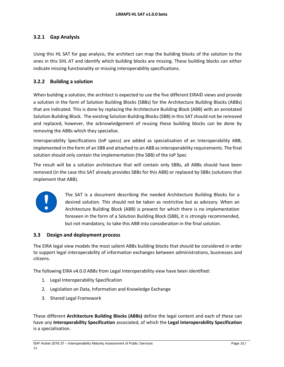# **3.2.1 Gap Analysis**

Using this HL SAT for gap analysis, the architect can map the building blocks of the solution to the ones in this SHL AT and identify which building blocks are missing. These building blocks can either indicate missing functionality or missing interoperability specifications.

# **3.2.2 Building a solution**

When building a solution, the architect is expected to use the five different EIRA© views and provide a solution in the form of Solution Building Blocks (SBBs) for the Architecture Building Blocks (ABBs) that are indicated. This is done by replacing the Architecture Building Block (ABB) with an annotated Solution Building Block. The existing Solution Building Blocks (SBB) in this SAT should not be removed and replaced, however, the acknowledgement of reusing these building blocks can be done by removing the ABBs which they specialise.

Interoperability Specifications (IoP specs) are added as specialisation of an Interoperability ABB, implemented in the form of an SBB and attached to an ABB as interoperability requirements. The final solution should only contain the implementation (the SBB) of the IoP Spec

The result will be a solution architecture that will contain only SBBs, all ABBs should have been removed (in the case this SAT already provides SBBs for this ABB) or replaced by SBBs (solutions that implement that ABB).



The SAT is a document describing the needed Architecture Building Blocks for a desired solution. This should not be taken as restrictive but as advisory. When an Architecture Building Block (ABB) is present for which there is no implementation foreseen in the form of a Solution Building Block (SBB), it is *strongly* recommended, but not mandatory, to take this ABB into consideration in the final solution.

### **3.3 Design and deployment process**

The EIRA legal view models the most salient ABBs building blocks that should be considered in order to support legal interoperability of information exchanges between administrations, businesses and citizens.

The following EIRA v4.0.0 ABBs from Legal Interoperability view have been identified:

- 1. Legal Interoperability Specification
- 2. Legislation on Data, Information and Knowledge Exchange
- 3. Shared Legal Framework

These different **Architecture Building Blocks (ABBs)** define the legal content and each of these can have any **Interoperability Specification** associated, of which the **Legal Interoperability Specification**  is a specialisation.